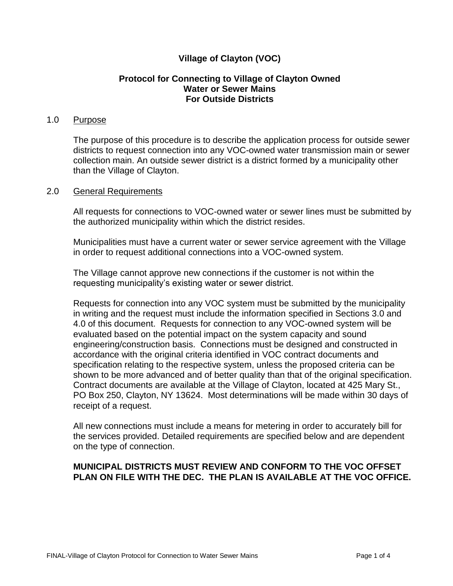# **Village of Clayton (VOC)**

### **Protocol for Connecting to Village of Clayton Owned Water or Sewer Mains For Outside Districts**

### 1.0 Purpose

The purpose of this procedure is to describe the application process for outside sewer districts to request connection into any VOC-owned water transmission main or sewer collection main. An outside sewer district is a district formed by a municipality other than the Village of Clayton.

#### 2.0 General Requirements

All requests for connections to VOC-owned water or sewer lines must be submitted by the authorized municipality within which the district resides.

Municipalities must have a current water or sewer service agreement with the Village in order to request additional connections into a VOC-owned system.

The Village cannot approve new connections if the customer is not within the requesting municipality's existing water or sewer district.

Requests for connection into any VOC system must be submitted by the municipality in writing and the request must include the information specified in Sections 3.0 and 4.0 of this document. Requests for connection to any VOC-owned system will be evaluated based on the potential impact on the system capacity and sound engineering/construction basis. Connections must be designed and constructed in accordance with the original criteria identified in VOC contract documents and specification relating to the respective system, unless the proposed criteria can be shown to be more advanced and of better quality than that of the original specification. Contract documents are available at the Village of Clayton, located at 425 Mary St., PO Box 250, Clayton, NY 13624. Most determinations will be made within 30 days of receipt of a request.

All new connections must include a means for metering in order to accurately bill for the services provided. Detailed requirements are specified below and are dependent on the type of connection.

#### **MUNICIPAL DISTRICTS MUST REVIEW AND CONFORM TO THE VOC OFFSET PLAN ON FILE WITH THE DEC. THE PLAN IS AVAILABLE AT THE VOC OFFICE.**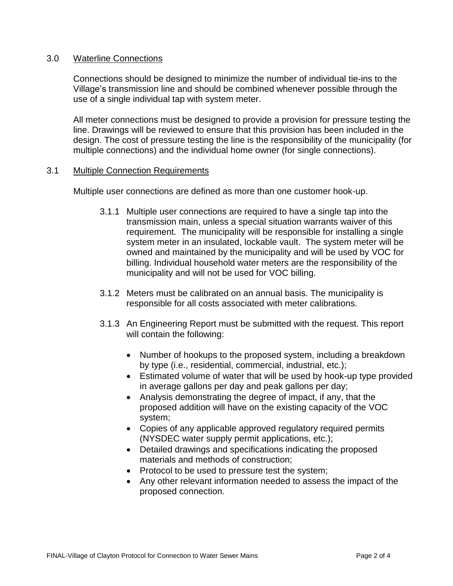### 3.0 Waterline Connections

Connections should be designed to minimize the number of individual tie-ins to the Village's transmission line and should be combined whenever possible through the use of a single individual tap with system meter.

All meter connections must be designed to provide a provision for pressure testing the line. Drawings will be reviewed to ensure that this provision has been included in the design. The cost of pressure testing the line is the responsibility of the municipality (for multiple connections) and the individual home owner (for single connections).

#### 3.1 Multiple Connection Requirements

Multiple user connections are defined as more than one customer hook-up.

- 3.1.1 Multiple user connections are required to have a single tap into the transmission main, unless a special situation warrants waiver of this requirement. The municipality will be responsible for installing a single system meter in an insulated, lockable vault. The system meter will be owned and maintained by the municipality and will be used by VOC for billing. Individual household water meters are the responsibility of the municipality and will not be used for VOC billing.
- 3.1.2 Meters must be calibrated on an annual basis. The municipality is responsible for all costs associated with meter calibrations.
- 3.1.3 An Engineering Report must be submitted with the request. This report will contain the following:
	- Number of hookups to the proposed system, including a breakdown by type (i.e., residential, commercial, industrial, etc.);
	- Estimated volume of water that will be used by hook-up type provided in average gallons per day and peak gallons per day;
	- Analysis demonstrating the degree of impact, if any, that the proposed addition will have on the existing capacity of the VOC system;
	- Copies of any applicable approved regulatory required permits (NYSDEC water supply permit applications, etc.);
	- Detailed drawings and specifications indicating the proposed materials and methods of construction;
	- Protocol to be used to pressure test the system;
	- Any other relevant information needed to assess the impact of the proposed connection.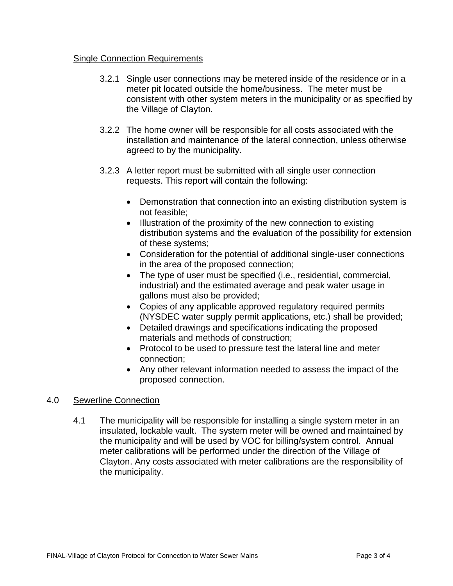## Single Connection Requirements

- 3.2.1 Single user connections may be metered inside of the residence or in a meter pit located outside the home/business. The meter must be consistent with other system meters in the municipality or as specified by the Village of Clayton.
- 3.2.2 The home owner will be responsible for all costs associated with the installation and maintenance of the lateral connection, unless otherwise agreed to by the municipality.
- 3.2.3 A letter report must be submitted with all single user connection requests. This report will contain the following:
	- Demonstration that connection into an existing distribution system is not feasible;
	- Illustration of the proximity of the new connection to existing distribution systems and the evaluation of the possibility for extension of these systems;
	- Consideration for the potential of additional single-user connections in the area of the proposed connection;
	- The type of user must be specified (i.e., residential, commercial, industrial) and the estimated average and peak water usage in gallons must also be provided;
	- Copies of any applicable approved regulatory required permits (NYSDEC water supply permit applications, etc.) shall be provided;
	- Detailed drawings and specifications indicating the proposed materials and methods of construction;
	- Protocol to be used to pressure test the lateral line and meter connection;
	- Any other relevant information needed to assess the impact of the proposed connection.

## 4.0 Sewerline Connection

4.1 The municipality will be responsible for installing a single system meter in an insulated, lockable vault. The system meter will be owned and maintained by the municipality and will be used by VOC for billing/system control. Annual meter calibrations will be performed under the direction of the Village of Clayton. Any costs associated with meter calibrations are the responsibility of the municipality.